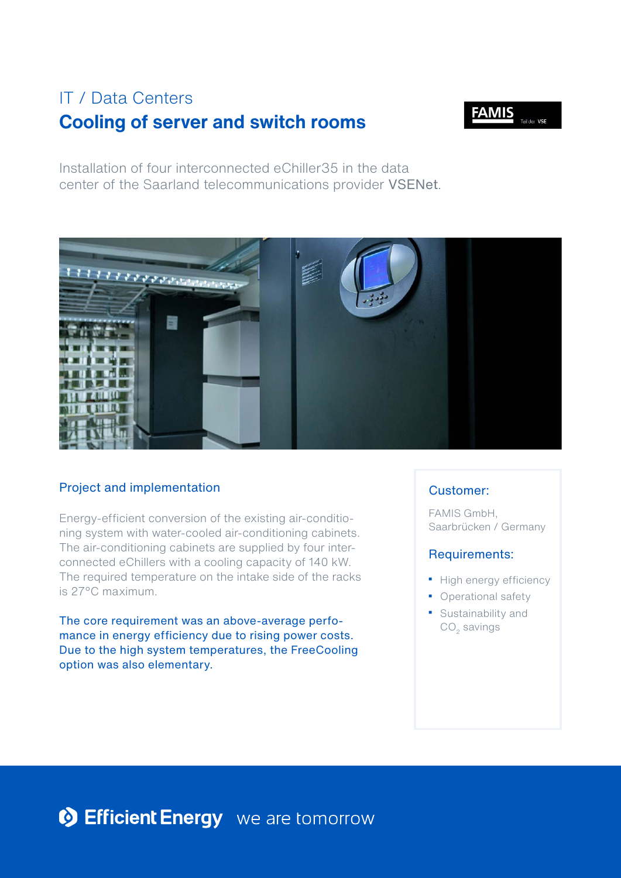# **Cooling of server and switch rooms**  IT / Data Centers



Installation of four interconnected eChiller35 in the data center of the Saarland telecommunications provider VSENet.



## Project and implementation

Energy-efficient conversion of the existing air-conditioning system with water-cooled air-conditioning cabinets. The air-conditioning cabinets are supplied by four interconnected eChillers with a cooling capacity of 140 kW. The required temperature on the intake side of the racks is 27°C maximum.

The core requirement was an above-average perfomance in energy efficiency due to rising power costs. Due to the high system temperatures, the FreeCooling option was also elementary.

## Customer:

FAMIS GmbH, Saarbrücken / Germany

#### Requirements:

- High energy efficiency
- Operational safety
- Sustainability and  $CO<sub>2</sub>$  savings